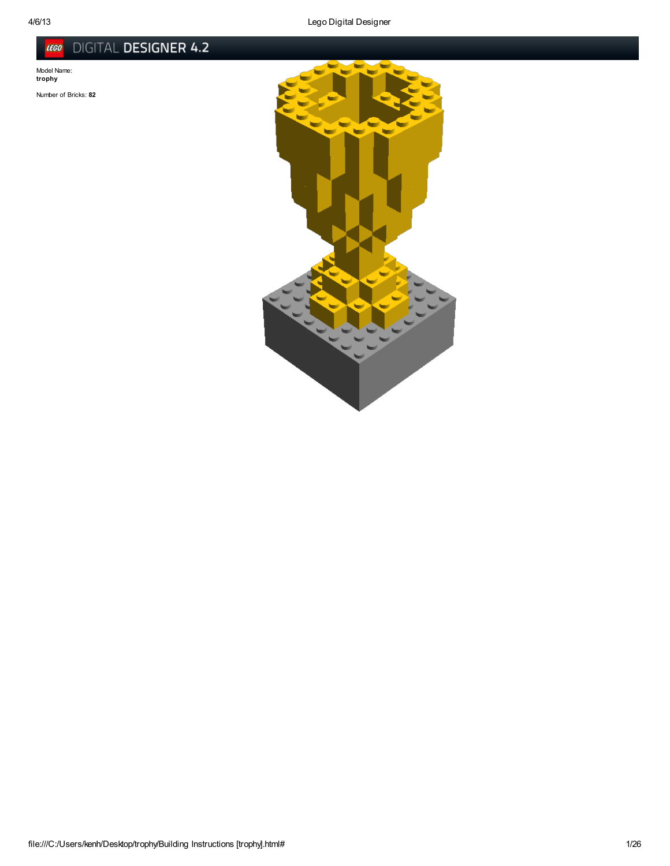## DIGITAL DESIGNER 4.2 LEGO

Model Name: trophy

Number of Bricks: 82

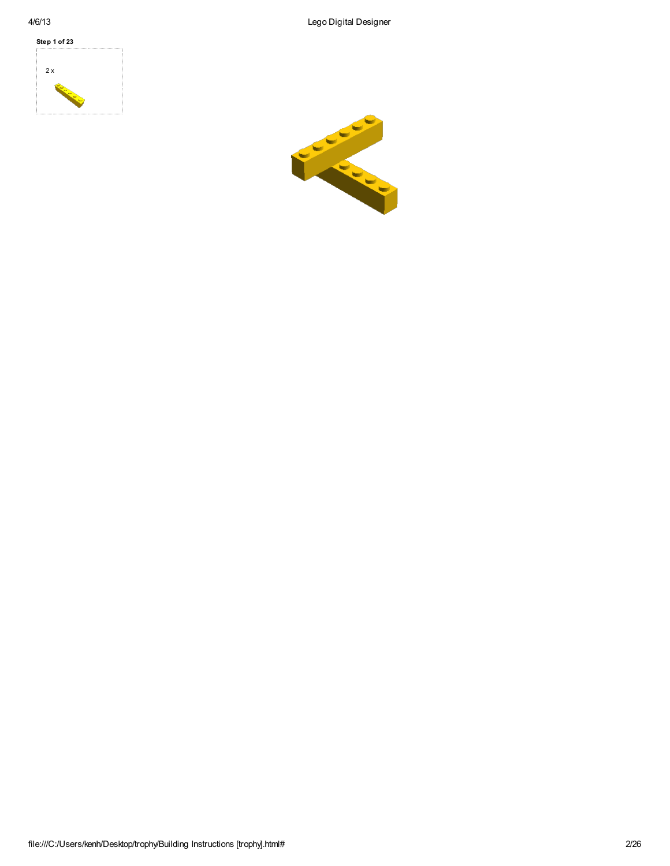

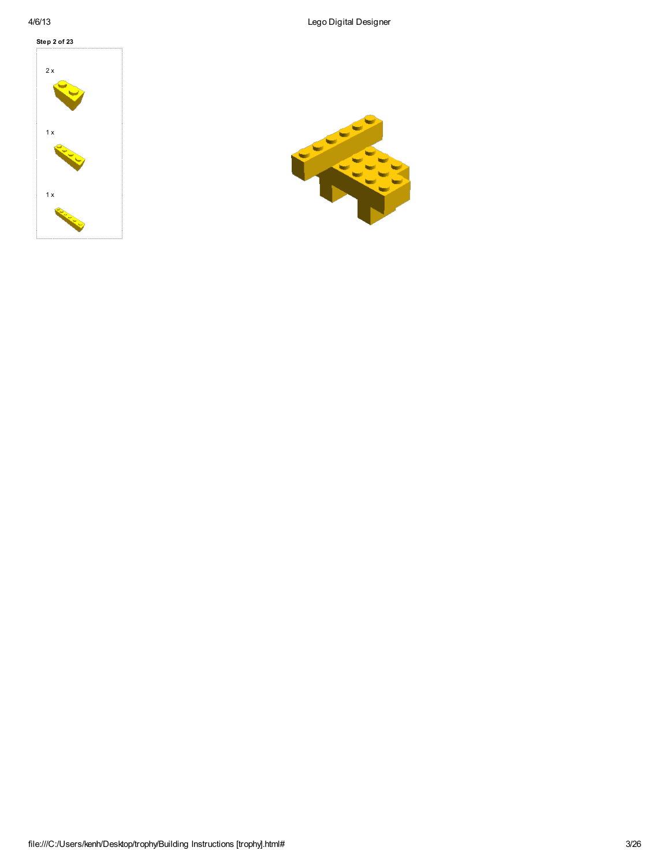

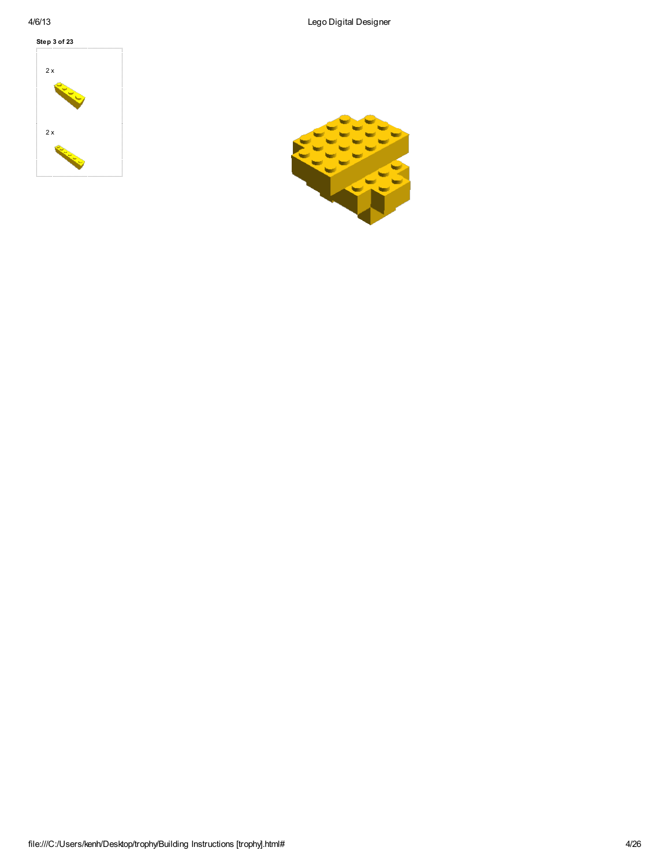

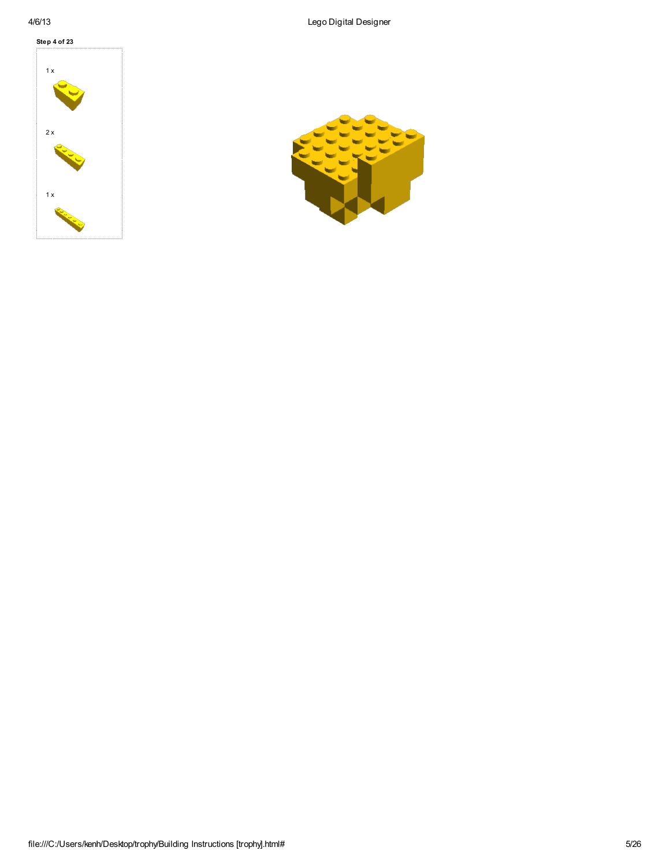

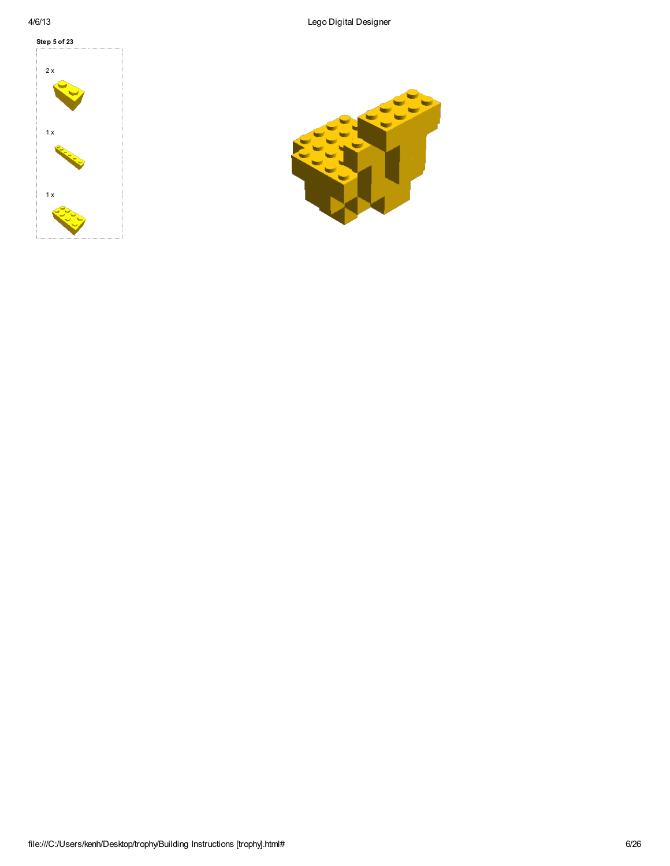

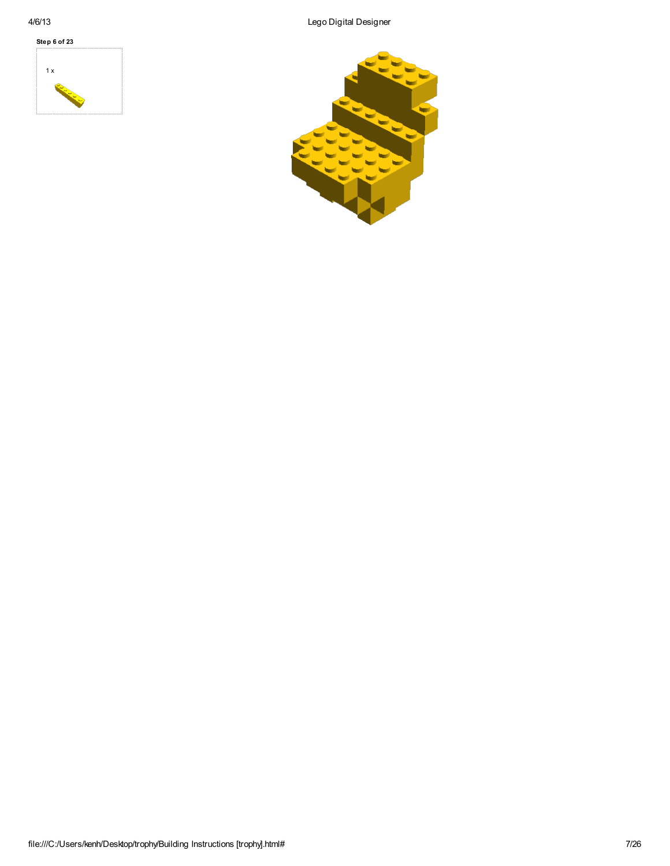

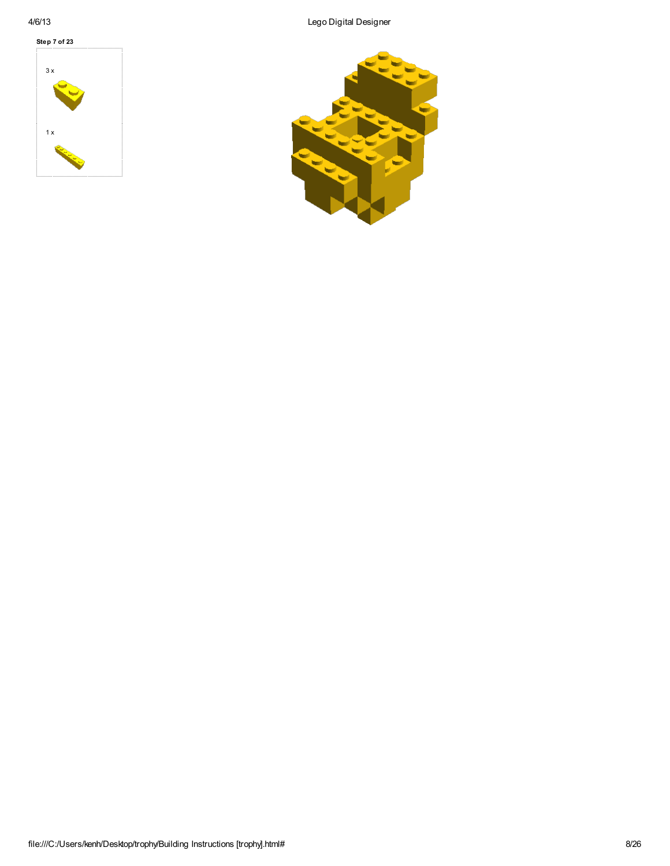

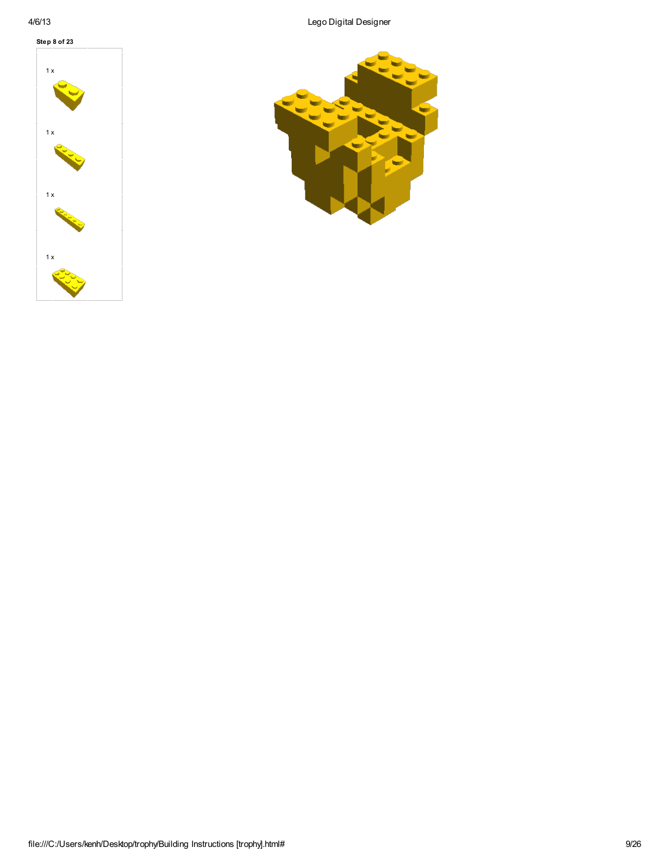

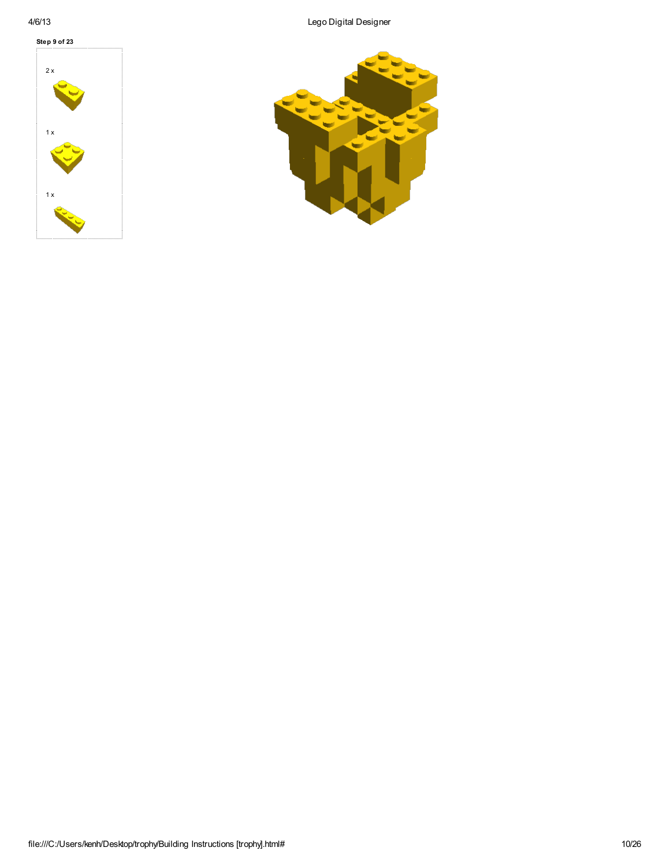

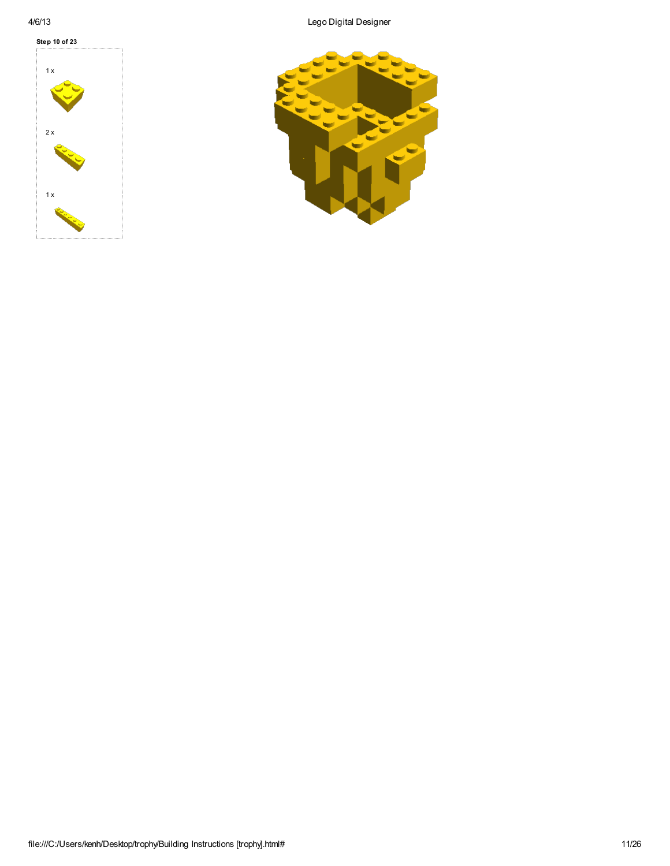

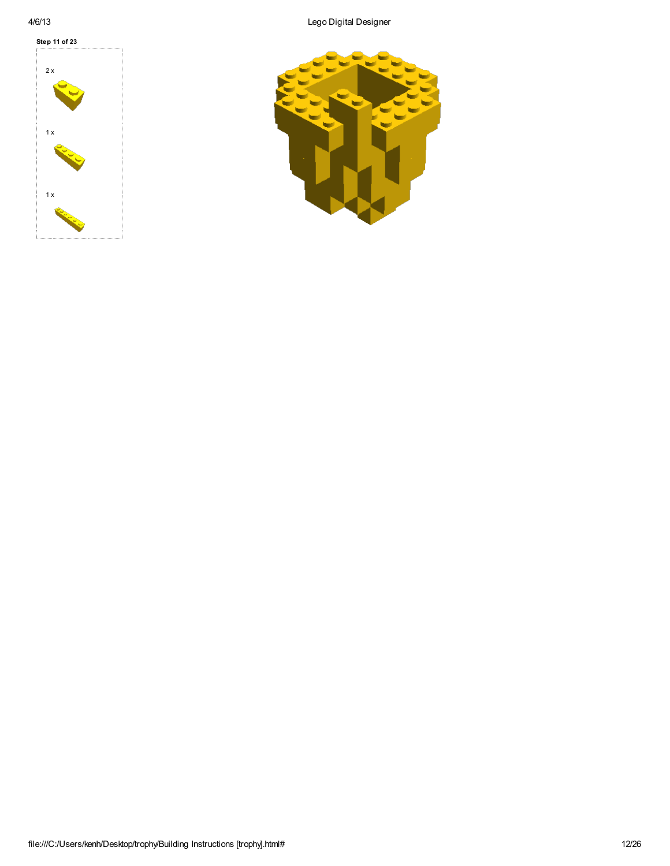

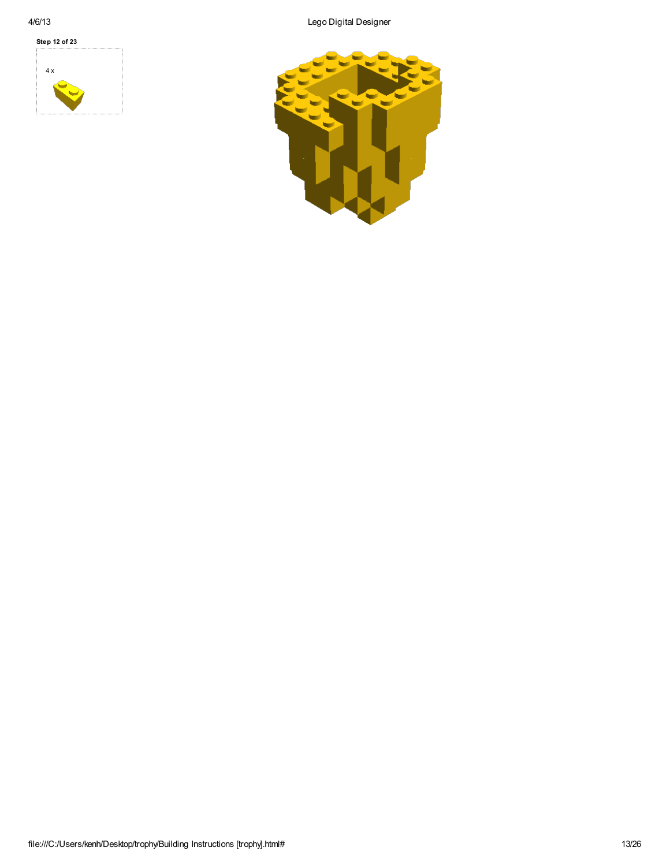4 x Step 12 of 23

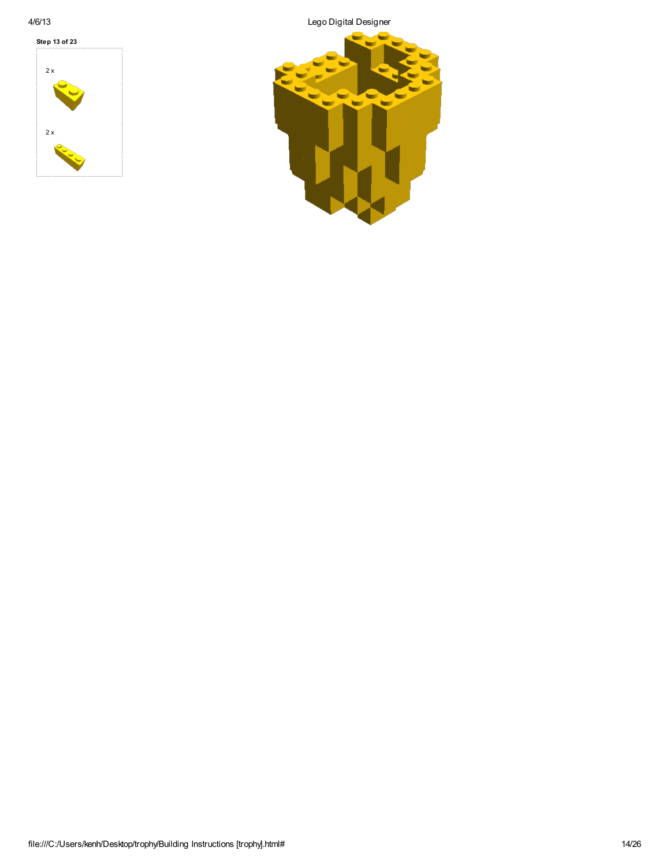2 x 2 x Step 13 of 23

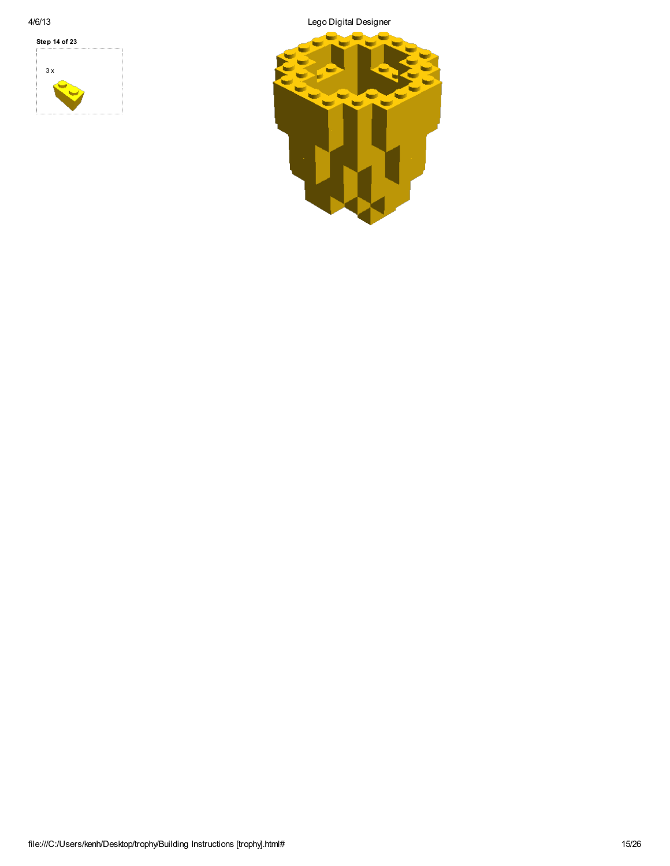

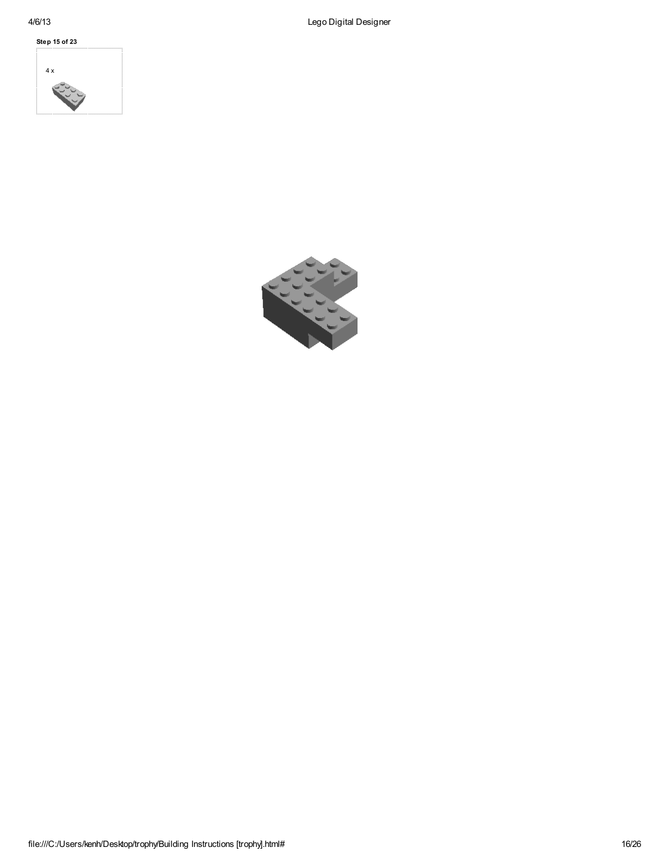

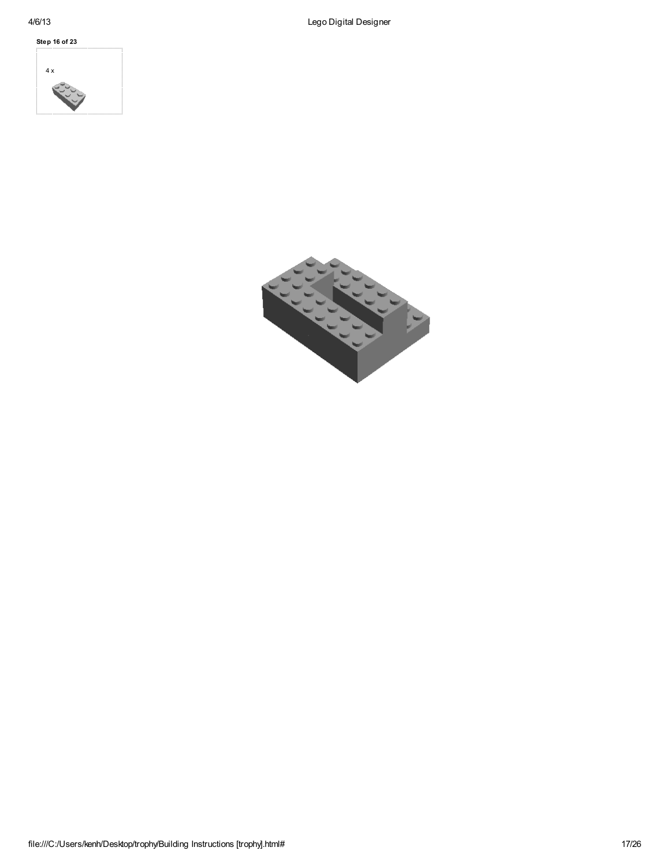



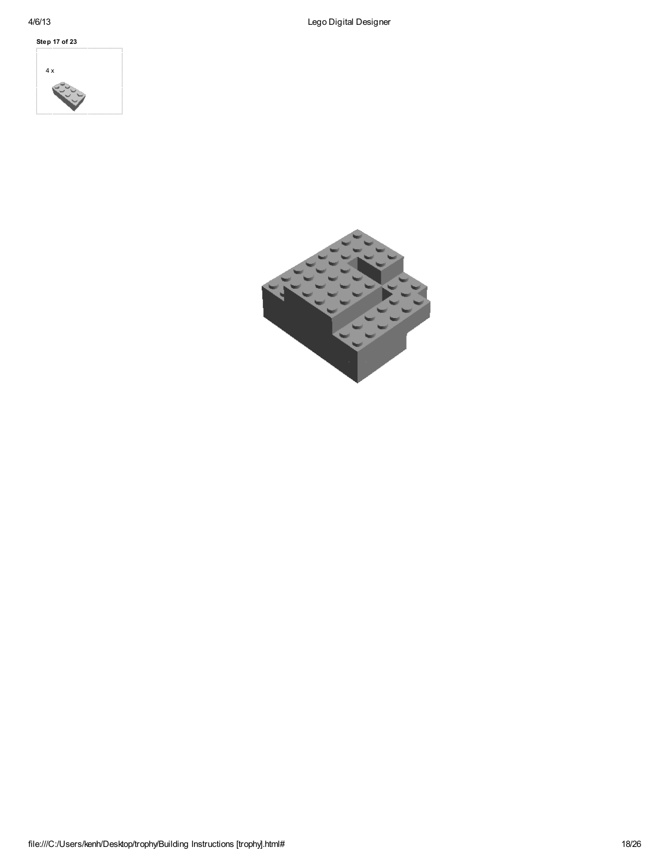

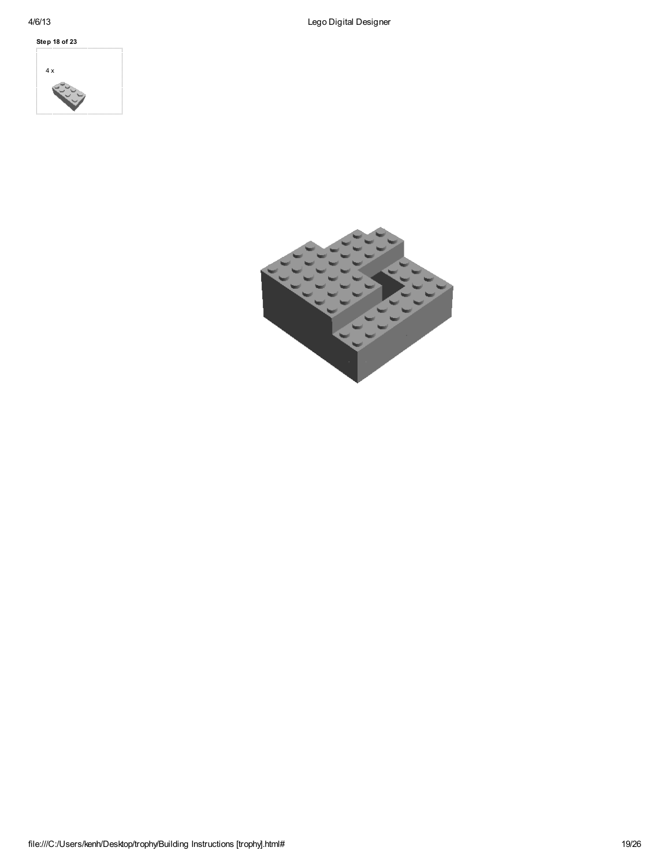

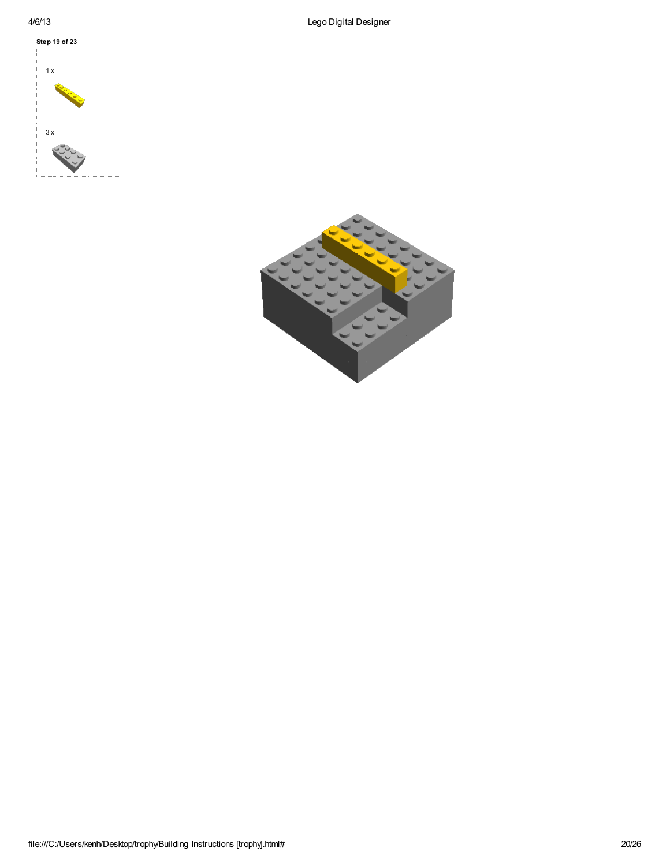

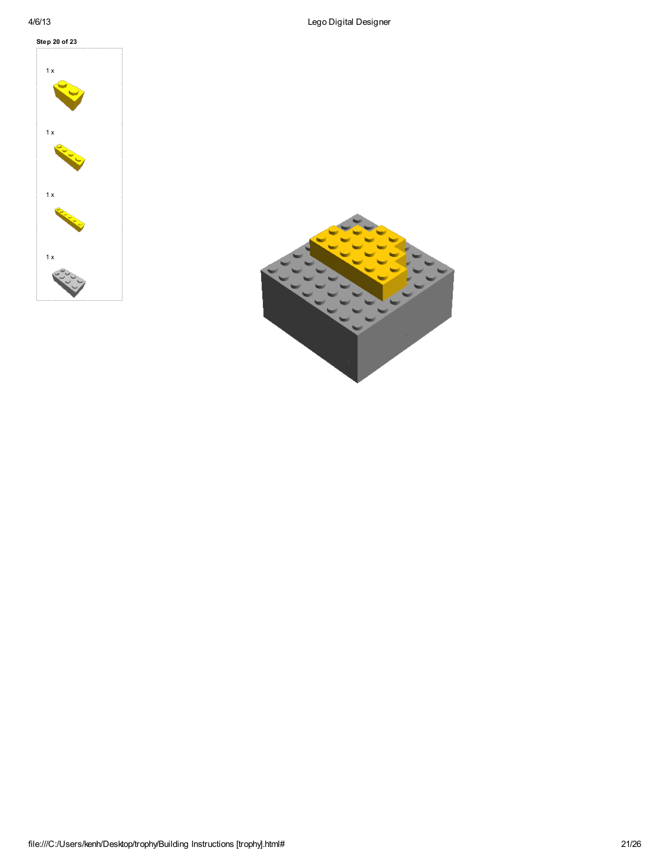

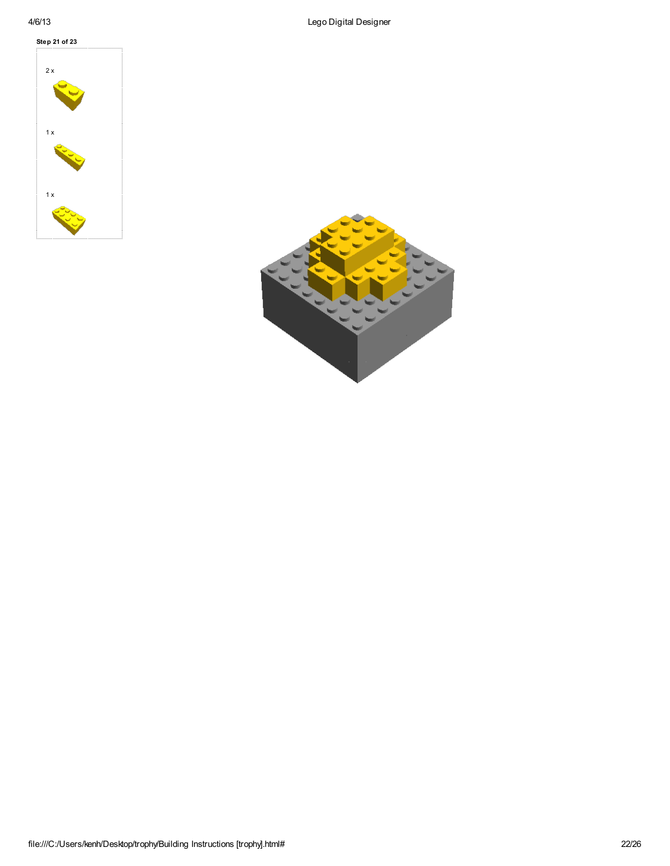

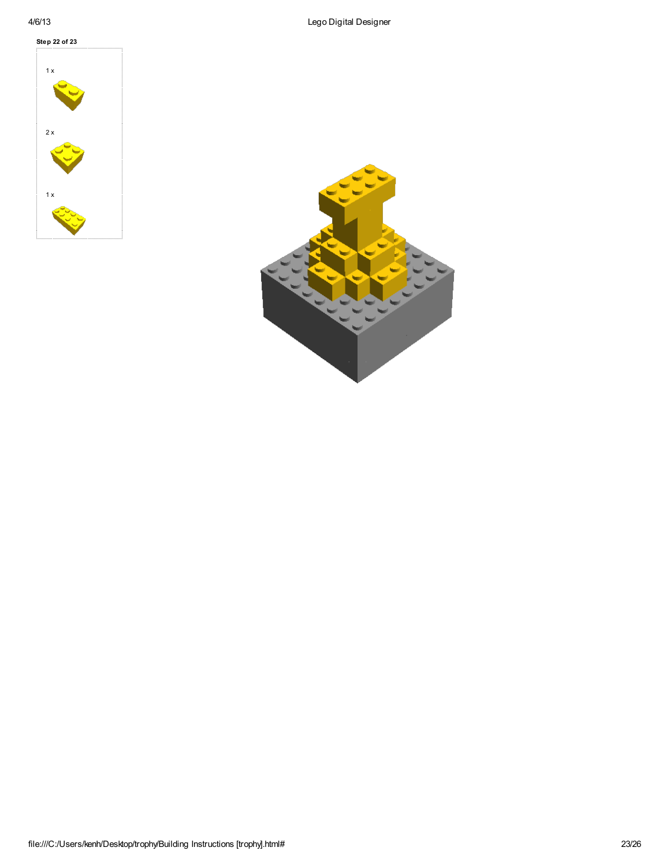

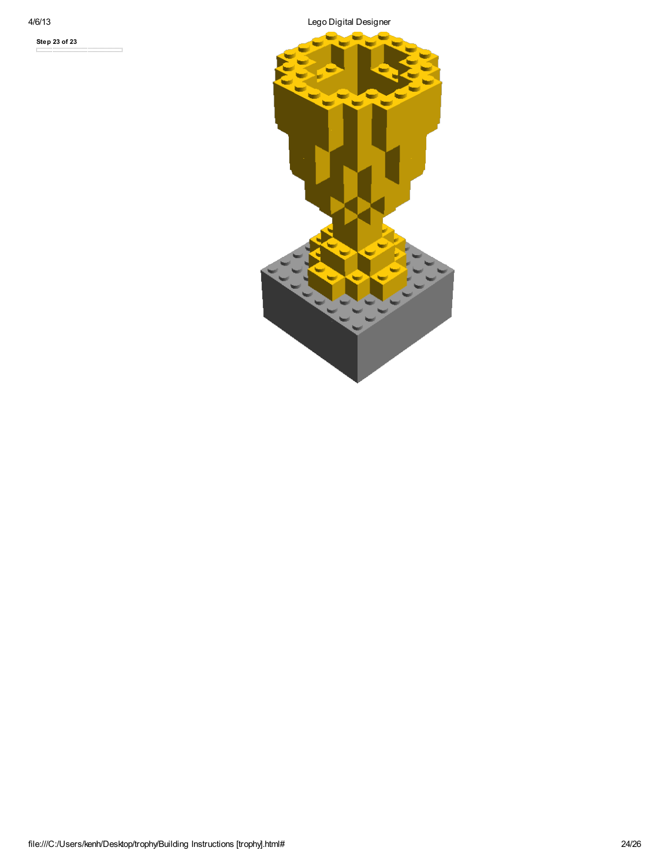Step 23 of 23

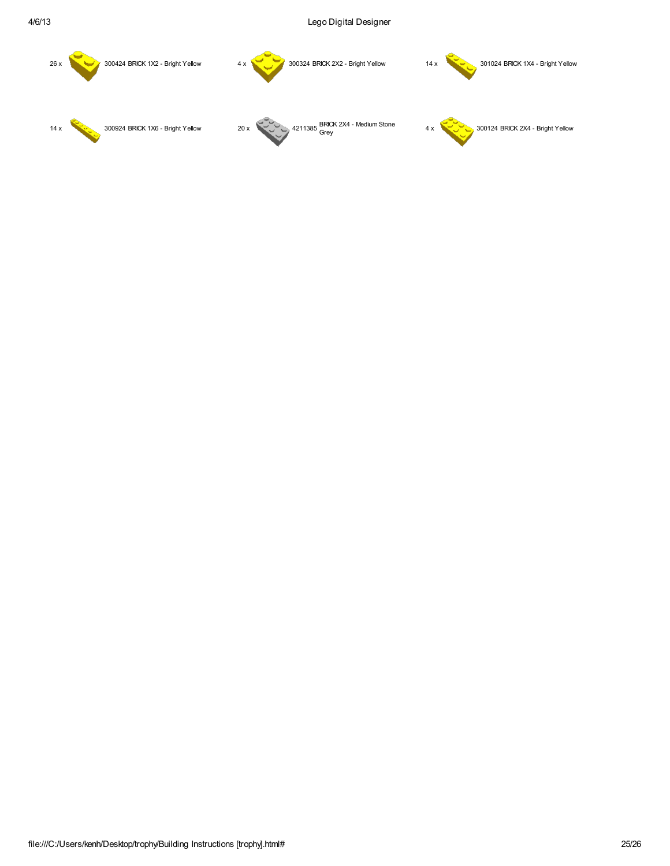